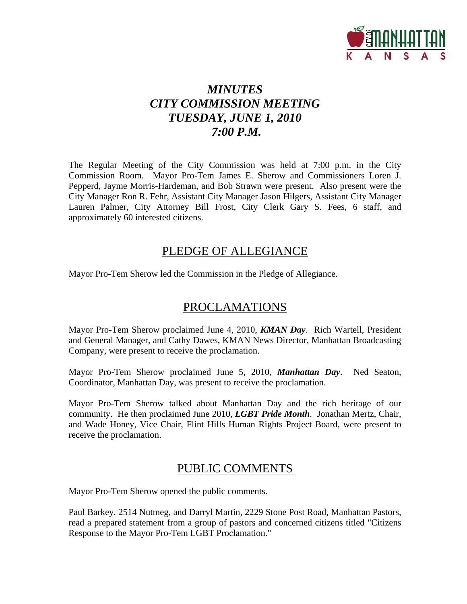

# *MINUTES CITY COMMISSION MEETING TUESDAY, JUNE 1, 2010 7:00 P.M.*

The Regular Meeting of the City Commission was held at 7:00 p.m. in the City Commission Room. Mayor Pro-Tem James E. Sherow and Commissioners Loren J. Pepperd, Jayme Morris-Hardeman, and Bob Strawn were present. Also present were the City Manager Ron R. Fehr, Assistant City Manager Jason Hilgers, Assistant City Manager Lauren Palmer, City Attorney Bill Frost, City Clerk Gary S. Fees, 6 staff, and approximately 60 interested citizens.

### PLEDGE OF ALLEGIANCE

Mayor Pro-Tem Sherow led the Commission in the Pledge of Allegiance.

# PROCLAMATIONS

Mayor Pro-Tem Sherow proclaimed June 4, 2010, *KMAN Day*. Rich Wartell, President and General Manager, and Cathy Dawes, KMAN News Director, Manhattan Broadcasting Company, were present to receive the proclamation.

Mayor Pro-Tem Sherow proclaimed June 5, 2010, *Manhattan Day*. Ned Seaton, Coordinator, Manhattan Day, was present to receive the proclamation.

Mayor Pro-Tem Sherow talked about Manhattan Day and the rich heritage of our community. He then proclaimed June 2010, *LGBT Pride Month*. Jonathan Mertz, Chair, and Wade Honey, Vice Chair, Flint Hills Human Rights Project Board, were present to receive the proclamation.

### PUBLIC COMMENTS

Mayor Pro-Tem Sherow opened the public comments.

Paul Barkey, 2514 Nutmeg, and Darryl Martin, 2229 Stone Post Road, Manhattan Pastors, read a prepared statement from a group of pastors and concerned citizens titled "Citizens Response to the Mayor Pro-Tem LGBT Proclamation."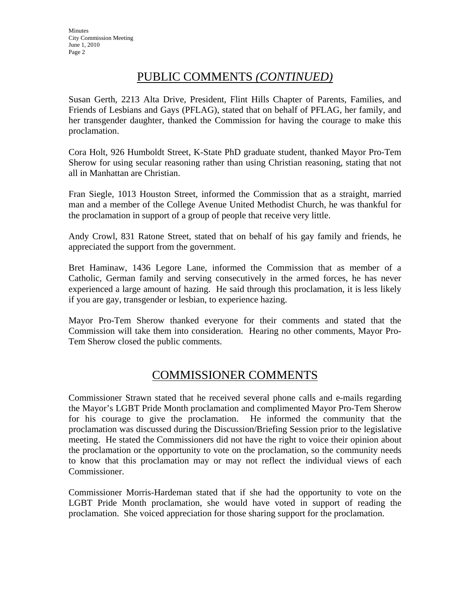**Minutes** City Commission Meeting June 1, 2010 Page 2

### PUBLIC COMMENTS *(CONTINUED)*

Susan Gerth, 2213 Alta Drive, President, Flint Hills Chapter of Parents, Families, and Friends of Lesbians and Gays (PFLAG), stated that on behalf of PFLAG, her family, and her transgender daughter, thanked the Commission for having the courage to make this proclamation.

Cora Holt, 926 Humboldt Street, K-State PhD graduate student, thanked Mayor Pro-Tem Sherow for using secular reasoning rather than using Christian reasoning, stating that not all in Manhattan are Christian.

Fran Siegle, 1013 Houston Street, informed the Commission that as a straight, married man and a member of the College Avenue United Methodist Church, he was thankful for the proclamation in support of a group of people that receive very little.

Andy Crowl, 831 Ratone Street, stated that on behalf of his gay family and friends, he appreciated the support from the government.

Bret Haminaw, 1436 Legore Lane, informed the Commission that as member of a Catholic, German family and serving consecutively in the armed forces, he has never experienced a large amount of hazing. He said through this proclamation, it is less likely if you are gay, transgender or lesbian, to experience hazing.

Mayor Pro-Tem Sherow thanked everyone for their comments and stated that the Commission will take them into consideration. Hearing no other comments, Mayor Pro-Tem Sherow closed the public comments.

### COMMISSIONER COMMENTS

Commissioner Strawn stated that he received several phone calls and e-mails regarding the Mayor's LGBT Pride Month proclamation and complimented Mayor Pro-Tem Sherow for his courage to give the proclamation. He informed the community that the proclamation was discussed during the Discussion/Briefing Session prior to the legislative meeting. He stated the Commissioners did not have the right to voice their opinion about the proclamation or the opportunity to vote on the proclamation, so the community needs to know that this proclamation may or may not reflect the individual views of each Commissioner.

Commissioner Morris-Hardeman stated that if she had the opportunity to vote on the LGBT Pride Month proclamation, she would have voted in support of reading the proclamation. She voiced appreciation for those sharing support for the proclamation.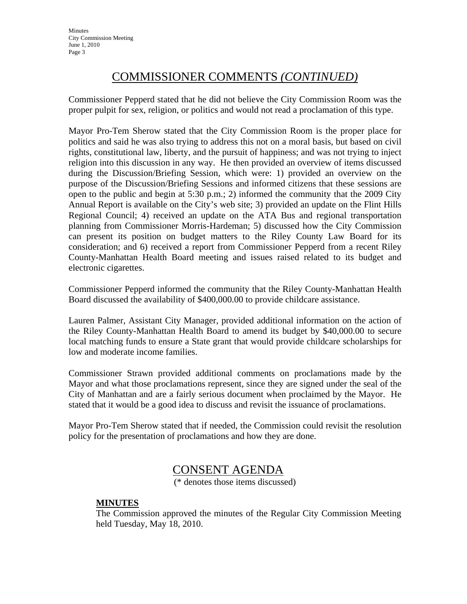# COMMISSIONER COMMENTS *(CONTINUED)*

Commissioner Pepperd stated that he did not believe the City Commission Room was the proper pulpit for sex, religion, or politics and would not read a proclamation of this type.

Mayor Pro-Tem Sherow stated that the City Commission Room is the proper place for politics and said he was also trying to address this not on a moral basis, but based on civil rights, constitutional law, liberty, and the pursuit of happiness; and was not trying to inject religion into this discussion in any way. He then provided an overview of items discussed during the Discussion/Briefing Session, which were: 1) provided an overview on the purpose of the Discussion/Briefing Sessions and informed citizens that these sessions are open to the public and begin at 5:30 p.m.; 2) informed the community that the 2009 City Annual Report is available on the City's web site; 3) provided an update on the Flint Hills Regional Council; 4) received an update on the ATA Bus and regional transportation planning from Commissioner Morris-Hardeman; 5) discussed how the City Commission can present its position on budget matters to the Riley County Law Board for its consideration; and 6) received a report from Commissioner Pepperd from a recent Riley County-Manhattan Health Board meeting and issues raised related to its budget and electronic cigarettes.

Commissioner Pepperd informed the community that the Riley County-Manhattan Health Board discussed the availability of \$400,000.00 to provide childcare assistance.

Lauren Palmer, Assistant City Manager, provided additional information on the action of the Riley County-Manhattan Health Board to amend its budget by \$40,000.00 to secure local matching funds to ensure a State grant that would provide childcare scholarships for low and moderate income families.

Commissioner Strawn provided additional comments on proclamations made by the Mayor and what those proclamations represent, since they are signed under the seal of the City of Manhattan and are a fairly serious document when proclaimed by the Mayor. He stated that it would be a good idea to discuss and revisit the issuance of proclamations.

Mayor Pro-Tem Sherow stated that if needed, the Commission could revisit the resolution policy for the presentation of proclamations and how they are done.

# CONSENT AGENDA

(\* denotes those items discussed)

#### **MINUTES**

The Commission approved the minutes of the Regular City Commission Meeting held Tuesday, May 18, 2010.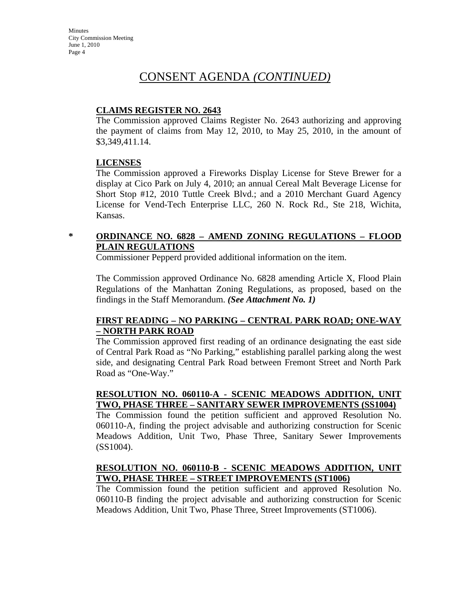#### **CLAIMS REGISTER NO. 2643**

The Commission approved Claims Register No. 2643 authorizing and approving the payment of claims from May 12, 2010, to May 25, 2010, in the amount of \$3,349,411.14.

#### **LICENSES**

The Commission approved a Fireworks Display License for Steve Brewer for a display at Cico Park on July 4, 2010; an annual Cereal Malt Beverage License for Short Stop #12, 2010 Tuttle Creek Blvd.; and a 2010 Merchant Guard Agency License for Vend-Tech Enterprise LLC, 260 N. Rock Rd., Ste 218, Wichita, Kansas.

### **\* ORDINANCE NO. 6828 – AMEND ZONING REGULATIONS – FLOOD PLAIN REGULATIONS**

Commissioner Pepperd provided additional information on the item.

The Commission approved Ordinance No. 6828 amending Article X, Flood Plain Regulations of the Manhattan Zoning Regulations, as proposed, based on the findings in the Staff Memorandum. *(See Attachment No. 1)*

#### **FIRST READING – NO PARKING – CENTRAL PARK ROAD; ONE-WAY – NORTH PARK ROAD**

The Commission approved first reading of an ordinance designating the east side of Central Park Road as "No Parking," establishing parallel parking along the west side, and designating Central Park Road between Fremont Street and North Park Road as "One-Way."

### **RESOLUTION NO. 060110-A - SCENIC MEADOWS ADDITION, UNIT TWO, PHASE THREE – SANITARY SEWER IMPROVEMENTS (SS1004)**

The Commission found the petition sufficient and approved Resolution No. 060110-A, finding the project advisable and authorizing construction for Scenic Meadows Addition, Unit Two, Phase Three, Sanitary Sewer Improvements (SS1004).

#### **RESOLUTION NO. 060110-B - SCENIC MEADOWS ADDITION, UNIT TWO, PHASE THREE – STREET IMPROVEMENTS (ST1006)**

The Commission found the petition sufficient and approved Resolution No. 060110-B finding the project advisable and authorizing construction for Scenic Meadows Addition, Unit Two, Phase Three, Street Improvements (ST1006).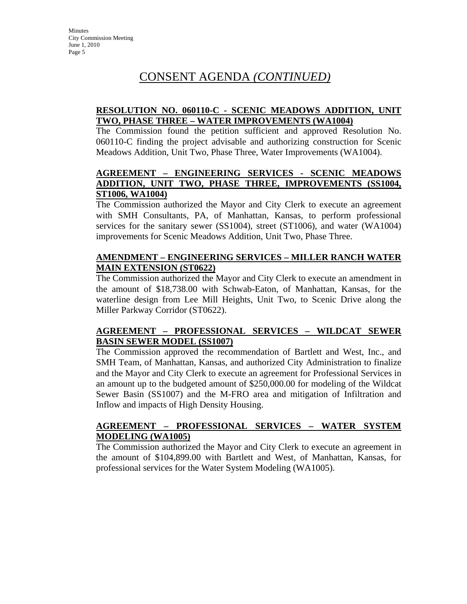### **RESOLUTION NO. 060110-C - SCENIC MEADOWS ADDITION, UNIT TWO, PHASE THREE – WATER IMPROVEMENTS (WA1004)**

The Commission found the petition sufficient and approved Resolution No. 060110-C finding the project advisable and authorizing construction for Scenic Meadows Addition, Unit Two, Phase Three, Water Improvements (WA1004).

### **AGREEMENT – ENGINEERING SERVICES - SCENIC MEADOWS ADDITION, UNIT TWO, PHASE THREE, IMPROVEMENTS (SS1004, ST1006, WA1004)**

The Commission authorized the Mayor and City Clerk to execute an agreement with SMH Consultants, PA, of Manhattan, Kansas, to perform professional services for the sanitary sewer (SS1004), street (ST1006), and water (WA1004) improvements for Scenic Meadows Addition, Unit Two, Phase Three.

#### **AMENDMENT – ENGINEERING SERVICES – MILLER RANCH WATER MAIN EXTENSION (ST0622)**

The Commission authorized the Mayor and City Clerk to execute an amendment in the amount of \$18,738.00 with Schwab-Eaton, of Manhattan, Kansas, for the waterline design from Lee Mill Heights, Unit Two, to Scenic Drive along the Miller Parkway Corridor (ST0622).

#### **AGREEMENT – PROFESSIONAL SERVICES – WILDCAT SEWER BASIN SEWER MODEL (SS1007)**

The Commission approved the recommendation of Bartlett and West, Inc., and SMH Team, of Manhattan, Kansas, and authorized City Administration to finalize and the Mayor and City Clerk to execute an agreement for Professional Services in an amount up to the budgeted amount of \$250,000.00 for modeling of the Wildcat Sewer Basin (SS1007) and the M-FRO area and mitigation of Infiltration and Inflow and impacts of High Density Housing.

#### **AGREEMENT – PROFESSIONAL SERVICES – WATER SYSTEM MODELING (WA1005)**

The Commission authorized the Mayor and City Clerk to execute an agreement in the amount of \$104,899.00 with Bartlett and West, of Manhattan, Kansas, for professional services for the Water System Modeling (WA1005).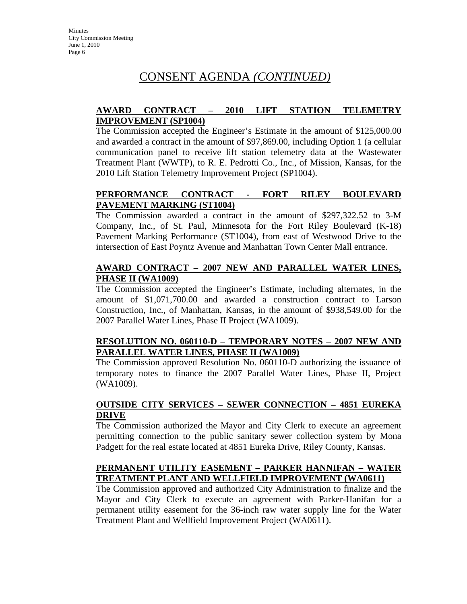#### **AWARD CONTRACT – 2010 LIFT STATION TELEMETRY IMPROVEMENT (SP1004)**

The Commission accepted the Engineer's Estimate in the amount of \$125,000.00 and awarded a contract in the amount of \$97,869.00, including Option 1 (a cellular communication panel to receive lift station telemetry data at the Wastewater Treatment Plant (WWTP), to R. E. Pedrotti Co., Inc., of Mission, Kansas, for the 2010 Lift Station Telemetry Improvement Project (SP1004).

#### **PERFORMANCE CONTRACT - FORT RILEY BOULEVARD PAVEMENT MARKING (ST1004)**

The Commission awarded a contract in the amount of \$297,322.52 to 3-M Company, Inc., of St. Paul, Minnesota for the Fort Riley Boulevard (K-18) Pavement Marking Performance (ST1004), from east of Westwood Drive to the intersection of East Poyntz Avenue and Manhattan Town Center Mall entrance.

#### **AWARD CONTRACT – 2007 NEW AND PARALLEL WATER LINES, PHASE II (WA1009)**

The Commission accepted the Engineer's Estimate, including alternates, in the amount of \$1,071,700.00 and awarded a construction contract to Larson Construction, Inc., of Manhattan, Kansas, in the amount of \$938,549.00 for the 2007 Parallel Water Lines, Phase II Project (WA1009).

#### **RESOLUTION NO. 060110-D – TEMPORARY NOTES – 2007 NEW AND PARALLEL WATER LINES, PHASE II (WA1009)**

The Commission approved Resolution No. 060110-D authorizing the issuance of temporary notes to finance the 2007 Parallel Water Lines, Phase II, Project (WA1009).

### **OUTSIDE CITY SERVICES – SEWER CONNECTION – 4851 EUREKA DRIVE**

The Commission authorized the Mayor and City Clerk to execute an agreement permitting connection to the public sanitary sewer collection system by Mona Padgett for the real estate located at 4851 Eureka Drive, Riley County, Kansas.

#### **PERMANENT UTILITY EASEMENT – PARKER HANNIFAN – WATER TREATMENT PLANT AND WELLFIELD IMPROVEMENT (WA0611)**

The Commission approved and authorized City Administration to finalize and the Mayor and City Clerk to execute an agreement with Parker-Hanifan for a permanent utility easement for the 36-inch raw water supply line for the Water Treatment Plant and Wellfield Improvement Project (WA0611).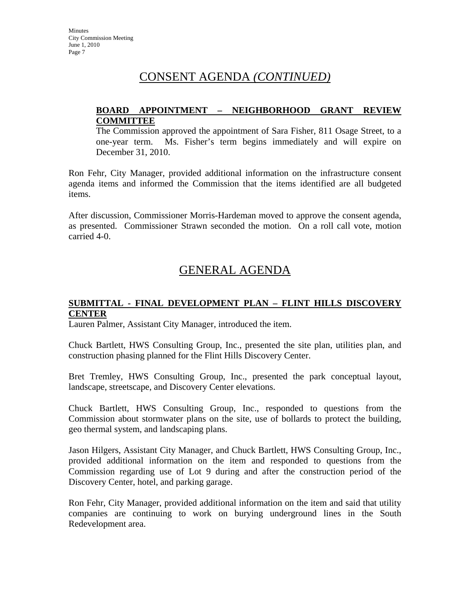#### **BOARD APPOINTMENT – NEIGHBORHOOD GRANT REVIEW COMMITTEE**

The Commission approved the appointment of Sara Fisher, 811 Osage Street, to a one-year term. Ms. Fisher's term begins immediately and will expire on December 31, 2010.

Ron Fehr, City Manager, provided additional information on the infrastructure consent agenda items and informed the Commission that the items identified are all budgeted items.

After discussion, Commissioner Morris-Hardeman moved to approve the consent agenda, as presented. Commissioner Strawn seconded the motion. On a roll call vote, motion carried 4-0.

# GENERAL AGENDA

#### **SUBMITTAL - FINAL DEVELOPMENT PLAN – FLINT HILLS DISCOVERY CENTER**

Lauren Palmer, Assistant City Manager, introduced the item.

Chuck Bartlett, HWS Consulting Group, Inc., presented the site plan, utilities plan, and construction phasing planned for the Flint Hills Discovery Center.

Bret Tremley, HWS Consulting Group, Inc., presented the park conceptual layout, landscape, streetscape, and Discovery Center elevations.

Chuck Bartlett, HWS Consulting Group, Inc., responded to questions from the Commission about stormwater plans on the site, use of bollards to protect the building, geo thermal system, and landscaping plans.

Jason Hilgers, Assistant City Manager, and Chuck Bartlett, HWS Consulting Group, Inc., provided additional information on the item and responded to questions from the Commission regarding use of Lot 9 during and after the construction period of the Discovery Center, hotel, and parking garage.

Ron Fehr, City Manager, provided additional information on the item and said that utility companies are continuing to work on burying underground lines in the South Redevelopment area.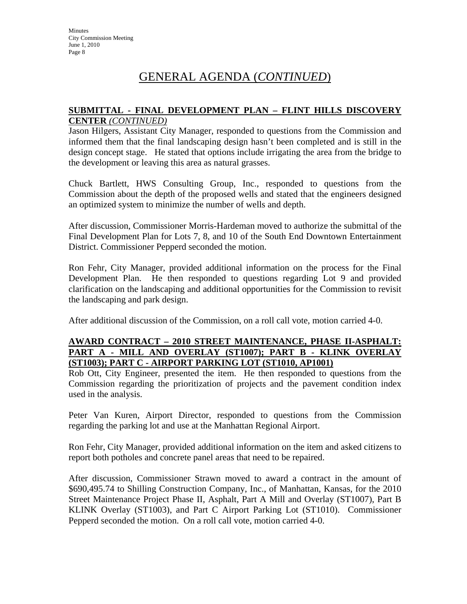# GENERAL AGENDA (*CONTINUED*)

#### **SUBMITTAL - FINAL DEVELOPMENT PLAN – FLINT HILLS DISCOVERY CENTER** *(CONTINUED)*

Jason Hilgers, Assistant City Manager, responded to questions from the Commission and informed them that the final landscaping design hasn't been completed and is still in the design concept stage. He stated that options include irrigating the area from the bridge to the development or leaving this area as natural grasses.

Chuck Bartlett, HWS Consulting Group, Inc., responded to questions from the Commission about the depth of the proposed wells and stated that the engineers designed an optimized system to minimize the number of wells and depth.

After discussion, Commissioner Morris-Hardeman moved to authorize the submittal of the Final Development Plan for Lots 7, 8, and 10 of the South End Downtown Entertainment District. Commissioner Pepperd seconded the motion.

Ron Fehr, City Manager, provided additional information on the process for the Final Development Plan. He then responded to questions regarding Lot 9 and provided clarification on the landscaping and additional opportunities for the Commission to revisit the landscaping and park design.

After additional discussion of the Commission, on a roll call vote, motion carried 4-0.

#### **AWARD CONTRACT – 2010 STREET MAINTENANCE, PHASE II-ASPHALT: PART A - MILL AND OVERLAY (ST1007); PART B - KLINK OVERLAY (ST1003); PART C - AIRPORT PARKING LOT (ST1010, AP1001)**

Rob Ott, City Engineer, presented the item. He then responded to questions from the Commission regarding the prioritization of projects and the pavement condition index used in the analysis.

Peter Van Kuren, Airport Director, responded to questions from the Commission regarding the parking lot and use at the Manhattan Regional Airport.

Ron Fehr, City Manager, provided additional information on the item and asked citizens to report both potholes and concrete panel areas that need to be repaired.

After discussion, Commissioner Strawn moved to award a contract in the amount of \$690,495.74 to Shilling Construction Company, Inc., of Manhattan, Kansas, for the 2010 Street Maintenance Project Phase II, Asphalt, Part A Mill and Overlay (ST1007), Part B KLINK Overlay (ST1003), and Part C Airport Parking Lot (ST1010). Commissioner Pepperd seconded the motion. On a roll call vote, motion carried 4-0.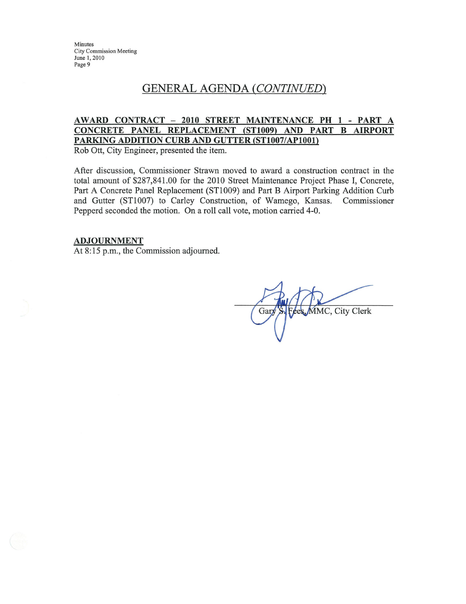Minutes **City Commission Meeting** June 1, 2010 Page 9

### **GENERAL AGENDA (CONTINUED)**

### AWARD CONTRACT - 2010 STREET MAINTENANCE PH 1 - PART A CONCRETE PANEL REPLACEMENT (ST1009) AND PART B AIRPORT PARKING ADDITION CURB AND GUTTER (ST1007/AP1001)

Rob Ott, City Engineer, presented the item.

After discussion, Commissioner Strawn moved to award a construction contract in the total amount of \$287,841.00 for the 2010 Street Maintenance Project Phase I, Concrete, Part A Concrete Panel Replacement (ST1009) and Part B Airport Parking Addition Curb and Gutter (ST1007) to Carley Construction, of Wamego, Kansas. Commissioner Pepperd seconded the motion. On a roll call vote, motion carried 4-0.

#### **ADJOURNMENT**

At 8:15 p.m., the Commission adjourned.

Gan Fees, MMC, City Clerk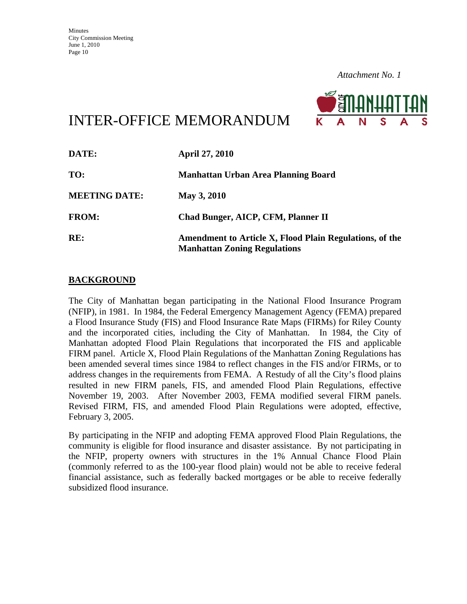

# INTER-OFFICE MEMORANDUM

| DATE:                | <b>April 27, 2010</b>                                                                          |
|----------------------|------------------------------------------------------------------------------------------------|
| TO:                  | <b>Manhattan Urban Area Planning Board</b>                                                     |
| <b>MEETING DATE:</b> | May 3, 2010                                                                                    |
| <b>FROM:</b>         | Chad Bunger, AICP, CFM, Planner II                                                             |
| RE:                  | Amendment to Article X, Flood Plain Regulations, of the<br><b>Manhattan Zoning Regulations</b> |

#### **BACKGROUND**

The City of Manhattan began participating in the National Flood Insurance Program (NFIP), in 1981. In 1984, the Federal Emergency Management Agency (FEMA) prepared a Flood Insurance Study (FIS) and Flood Insurance Rate Maps (FIRMs) for Riley County and the incorporated cities, including the City of Manhattan. In 1984, the City of Manhattan adopted Flood Plain Regulations that incorporated the FIS and applicable FIRM panel. Article X, Flood Plain Regulations of the Manhattan Zoning Regulations has been amended several times since 1984 to reflect changes in the FIS and/or FIRMs, or to address changes in the requirements from FEMA. A Restudy of all the City's flood plains resulted in new FIRM panels, FIS, and amended Flood Plain Regulations, effective November 19, 2003. After November 2003, FEMA modified several FIRM panels. Revised FIRM, FIS, and amended Flood Plain Regulations were adopted, effective, February 3, 2005.

By participating in the NFIP and adopting FEMA approved Flood Plain Regulations, the community is eligible for flood insurance and disaster assistance. By not participating in the NFIP, property owners with structures in the 1% Annual Chance Flood Plain (commonly referred to as the 100-year flood plain) would not be able to receive federal financial assistance, such as federally backed mortgages or be able to receive federally subsidized flood insurance.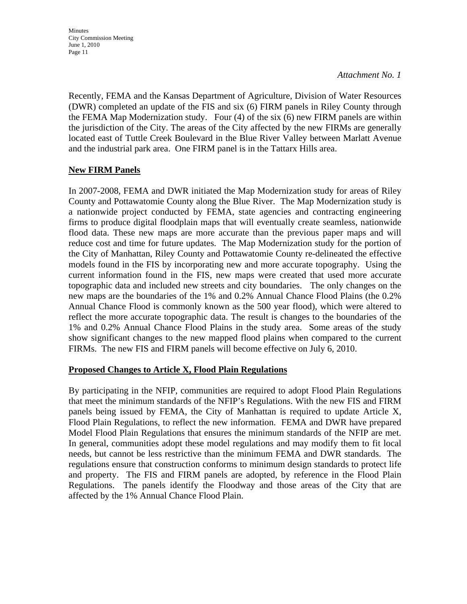**Minutes** City Commission Meeting June 1, 2010 Page 11

*Attachment No. 1* 

Recently, FEMA and the Kansas Department of Agriculture, Division of Water Resources (DWR) completed an update of the FIS and six (6) FIRM panels in Riley County through the FEMA Map Modernization study. Four (4) of the six (6) new FIRM panels are within the jurisdiction of the City. The areas of the City affected by the new FIRMs are generally located east of Tuttle Creek Boulevard in the Blue River Valley between Marlatt Avenue and the industrial park area. One FIRM panel is in the Tattarx Hills area.

#### **New FIRM Panels**

In 2007-2008, FEMA and DWR initiated the Map Modernization study for areas of Riley County and Pottawatomie County along the Blue River. The Map Modernization study is a nationwide project conducted by FEMA, state agencies and contracting engineering firms to produce digital floodplain maps that will eventually create seamless, nationwide flood data. These new maps are more accurate than the previous paper maps and will reduce cost and time for future updates. The Map Modernization study for the portion of the City of Manhattan, Riley County and Pottawatomie County re-delineated the effective models found in the FIS by incorporating new and more accurate topography. Using the current information found in the FIS, new maps were created that used more accurate topographic data and included new streets and city boundaries. The only changes on the new maps are the boundaries of the 1% and 0.2% Annual Chance Flood Plains (the 0.2% Annual Chance Flood is commonly known as the 500 year flood), which were altered to reflect the more accurate topographic data. The result is changes to the boundaries of the 1% and 0.2% Annual Chance Flood Plains in the study area. Some areas of the study show significant changes to the new mapped flood plains when compared to the current FIRMs. The new FIS and FIRM panels will become effective on July 6, 2010.

#### **Proposed Changes to Article X, Flood Plain Regulations**

By participating in the NFIP, communities are required to adopt Flood Plain Regulations that meet the minimum standards of the NFIP's Regulations. With the new FIS and FIRM panels being issued by FEMA, the City of Manhattan is required to update Article X, Flood Plain Regulations, to reflect the new information. FEMA and DWR have prepared Model Flood Plain Regulations that ensures the minimum standards of the NFIP are met. In general, communities adopt these model regulations and may modify them to fit local needs, but cannot be less restrictive than the minimum FEMA and DWR standards. The regulations ensure that construction conforms to minimum design standards to protect life and property. The FIS and FIRM panels are adopted, by reference in the Flood Plain Regulations. The panels identify the Floodway and those areas of the City that are affected by the 1% Annual Chance Flood Plain.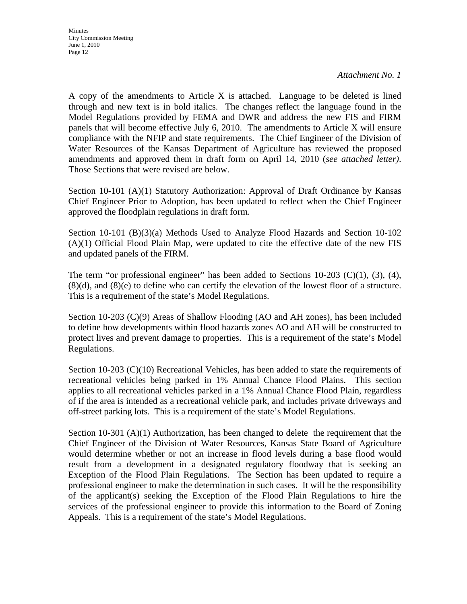A copy of the amendments to Article X is attached. Language to be deleted is lined through and new text is in bold italics. The changes reflect the language found in the Model Regulations provided by FEMA and DWR and address the new FIS and FIRM panels that will become effective July 6, 2010. The amendments to Article X will ensure compliance with the NFIP and state requirements. The Chief Engineer of the Division of Water Resources of the Kansas Department of Agriculture has reviewed the proposed amendments and approved them in draft form on April 14, 2010 (*see attached letter)*. Those Sections that were revised are below.

Section 10-101 (A)(1) Statutory Authorization: Approval of Draft Ordinance by Kansas Chief Engineer Prior to Adoption, has been updated to reflect when the Chief Engineer approved the floodplain regulations in draft form.

Section 10-101 (B)(3)(a) Methods Used to Analyze Flood Hazards and Section 10-102 (A)(1) Official Flood Plain Map, were updated to cite the effective date of the new FIS and updated panels of the FIRM.

The term "or professional engineer" has been added to Sections  $10\n-203$  (C)(1), (3), (4), (8)(d), and (8)(e) to define who can certify the elevation of the lowest floor of a structure. This is a requirement of the state's Model Regulations.

Section 10-203 (C)(9) Areas of Shallow Flooding (AO and AH zones), has been included to define how developments within flood hazards zones AO and AH will be constructed to protect lives and prevent damage to properties. This is a requirement of the state's Model Regulations.

Section 10-203 (C)(10) Recreational Vehicles, has been added to state the requirements of recreational vehicles being parked in 1% Annual Chance Flood Plains. This section applies to all recreational vehicles parked in a 1% Annual Chance Flood Plain, regardless of if the area is intended as a recreational vehicle park, and includes private driveways and off-street parking lots. This is a requirement of the state's Model Regulations.

Section 10-301  $(A)(1)$  Authorization, has been changed to delete the requirement that the Chief Engineer of the Division of Water Resources, Kansas State Board of Agriculture would determine whether or not an increase in flood levels during a base flood would result from a development in a designated regulatory floodway that is seeking an Exception of the Flood Plain Regulations. The Section has been updated to require a professional engineer to make the determination in such cases. It will be the responsibility of the applicant(s) seeking the Exception of the Flood Plain Regulations to hire the services of the professional engineer to provide this information to the Board of Zoning Appeals. This is a requirement of the state's Model Regulations.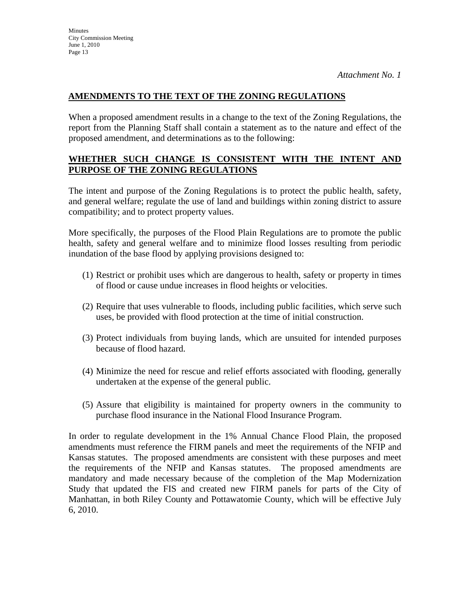### **AMENDMENTS TO THE TEXT OF THE ZONING REGULATIONS**

When a proposed amendment results in a change to the text of the Zoning Regulations, the report from the Planning Staff shall contain a statement as to the nature and effect of the proposed amendment, and determinations as to the following:

### **WHETHER SUCH CHANGE IS CONSISTENT WITH THE INTENT AND PURPOSE OF THE ZONING REGULATIONS**

The intent and purpose of the Zoning Regulations is to protect the public health, safety, and general welfare; regulate the use of land and buildings within zoning district to assure compatibility; and to protect property values.

More specifically, the purposes of the Flood Plain Regulations are to promote the public health, safety and general welfare and to minimize flood losses resulting from periodic inundation of the base flood by applying provisions designed to:

- (1) Restrict or prohibit uses which are dangerous to health, safety or property in times of flood or cause undue increases in flood heights or velocities.
- (2) Require that uses vulnerable to floods, including public facilities, which serve such uses, be provided with flood protection at the time of initial construction.
- (3) Protect individuals from buying lands, which are unsuited for intended purposes because of flood hazard.
- (4) Minimize the need for rescue and relief efforts associated with flooding, generally undertaken at the expense of the general public.
- (5) Assure that eligibility is maintained for property owners in the community to purchase flood insurance in the National Flood Insurance Program.

In order to regulate development in the 1% Annual Chance Flood Plain, the proposed amendments must reference the FIRM panels and meet the requirements of the NFIP and Kansas statutes. The proposed amendments are consistent with these purposes and meet the requirements of the NFIP and Kansas statutes. The proposed amendments are mandatory and made necessary because of the completion of the Map Modernization Study that updated the FIS and created new FIRM panels for parts of the City of Manhattan, in both Riley County and Pottawatomie County, which will be effective July 6, 2010.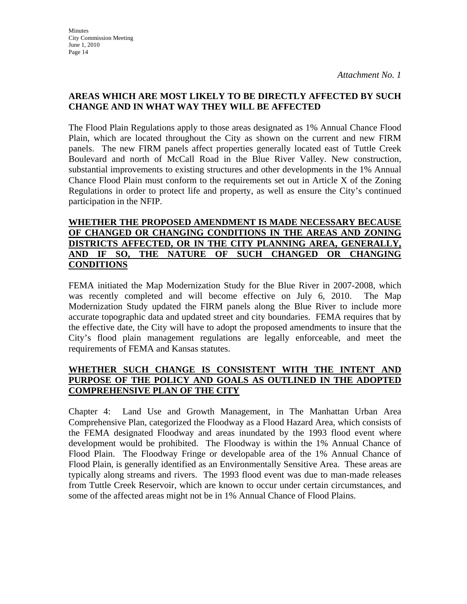### **AREAS WHICH ARE MOST LIKELY TO BE DIRECTLY AFFECTED BY SUCH CHANGE AND IN WHAT WAY THEY WILL BE AFFECTED**

The Flood Plain Regulations apply to those areas designated as 1% Annual Chance Flood Plain, which are located throughout the City as shown on the current and new FIRM panels. The new FIRM panels affect properties generally located east of Tuttle Creek Boulevard and north of McCall Road in the Blue River Valley. New construction, substantial improvements to existing structures and other developments in the 1% Annual Chance Flood Plain must conform to the requirements set out in Article X of the Zoning Regulations in order to protect life and property, as well as ensure the City's continued participation in the NFIP.

#### **WHETHER THE PROPOSED AMENDMENT IS MADE NECESSARY BECAUSE OF CHANGED OR CHANGING CONDITIONS IN THE AREAS AND ZONING DISTRICTS AFFECTED, OR IN THE CITY PLANNING AREA, GENERALLY, AND IF SO, THE NATURE OF SUCH CHANGED OR CHANGING CONDITIONS**

FEMA initiated the Map Modernization Study for the Blue River in 2007-2008, which was recently completed and will become effective on July 6, 2010. The Map Modernization Study updated the FIRM panels along the Blue River to include more accurate topographic data and updated street and city boundaries. FEMA requires that by the effective date, the City will have to adopt the proposed amendments to insure that the City's flood plain management regulations are legally enforceable, and meet the requirements of FEMA and Kansas statutes.

### **WHETHER SUCH CHANGE IS CONSISTENT WITH THE INTENT AND PURPOSE OF THE POLICY AND GOALS AS OUTLINED IN THE ADOPTED COMPREHENSIVE PLAN OF THE CITY**

Chapter 4: Land Use and Growth Management, in The Manhattan Urban Area Comprehensive Plan, categorized the Floodway as a Flood Hazard Area, which consists of the FEMA designated Floodway and areas inundated by the 1993 flood event where development would be prohibited. The Floodway is within the 1% Annual Chance of Flood Plain. The Floodway Fringe or developable area of the 1% Annual Chance of Flood Plain, is generally identified as an Environmentally Sensitive Area. These areas are typically along streams and rivers. The 1993 flood event was due to man-made releases from Tuttle Creek Reservoir, which are known to occur under certain circumstances, and some of the affected areas might not be in 1% Annual Chance of Flood Plains.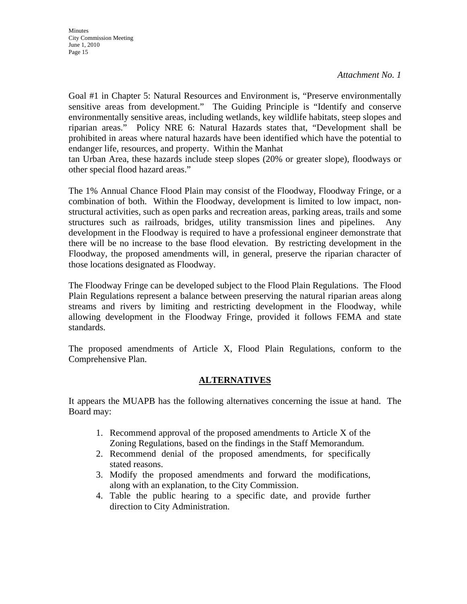Goal #1 in Chapter 5: Natural Resources and Environment is, "Preserve environmentally sensitive areas from development." The Guiding Principle is "Identify and conserve environmentally sensitive areas, including wetlands, key wildlife habitats, steep slopes and riparian areas." Policy NRE 6: Natural Hazards states that, "Development shall be prohibited in areas where natural hazards have been identified which have the potential to endanger life, resources, and property. Within the Manhat

tan Urban Area, these hazards include steep slopes (20% or greater slope), floodways or other special flood hazard areas."

The 1% Annual Chance Flood Plain may consist of the Floodway, Floodway Fringe, or a combination of both. Within the Floodway, development is limited to low impact, nonstructural activities, such as open parks and recreation areas, parking areas, trails and some structures such as railroads, bridges, utility transmission lines and pipelines. Any development in the Floodway is required to have a professional engineer demonstrate that there will be no increase to the base flood elevation. By restricting development in the Floodway, the proposed amendments will, in general, preserve the riparian character of those locations designated as Floodway.

The Floodway Fringe can be developed subject to the Flood Plain Regulations. The Flood Plain Regulations represent a balance between preserving the natural riparian areas along streams and rivers by limiting and restricting development in the Floodway, while allowing development in the Floodway Fringe, provided it follows FEMA and state standards.

The proposed amendments of Article X, Flood Plain Regulations, conform to the Comprehensive Plan.

#### **ALTERNATIVES**

It appears the MUAPB has the following alternatives concerning the issue at hand. The Board may:

- 1. Recommend approval of the proposed amendments to Article X of the Zoning Regulations, based on the findings in the Staff Memorandum.
- 2. Recommend denial of the proposed amendments, for specifically stated reasons.
- 3. Modify the proposed amendments and forward the modifications, along with an explanation, to the City Commission.
- 4. Table the public hearing to a specific date, and provide further direction to City Administration.